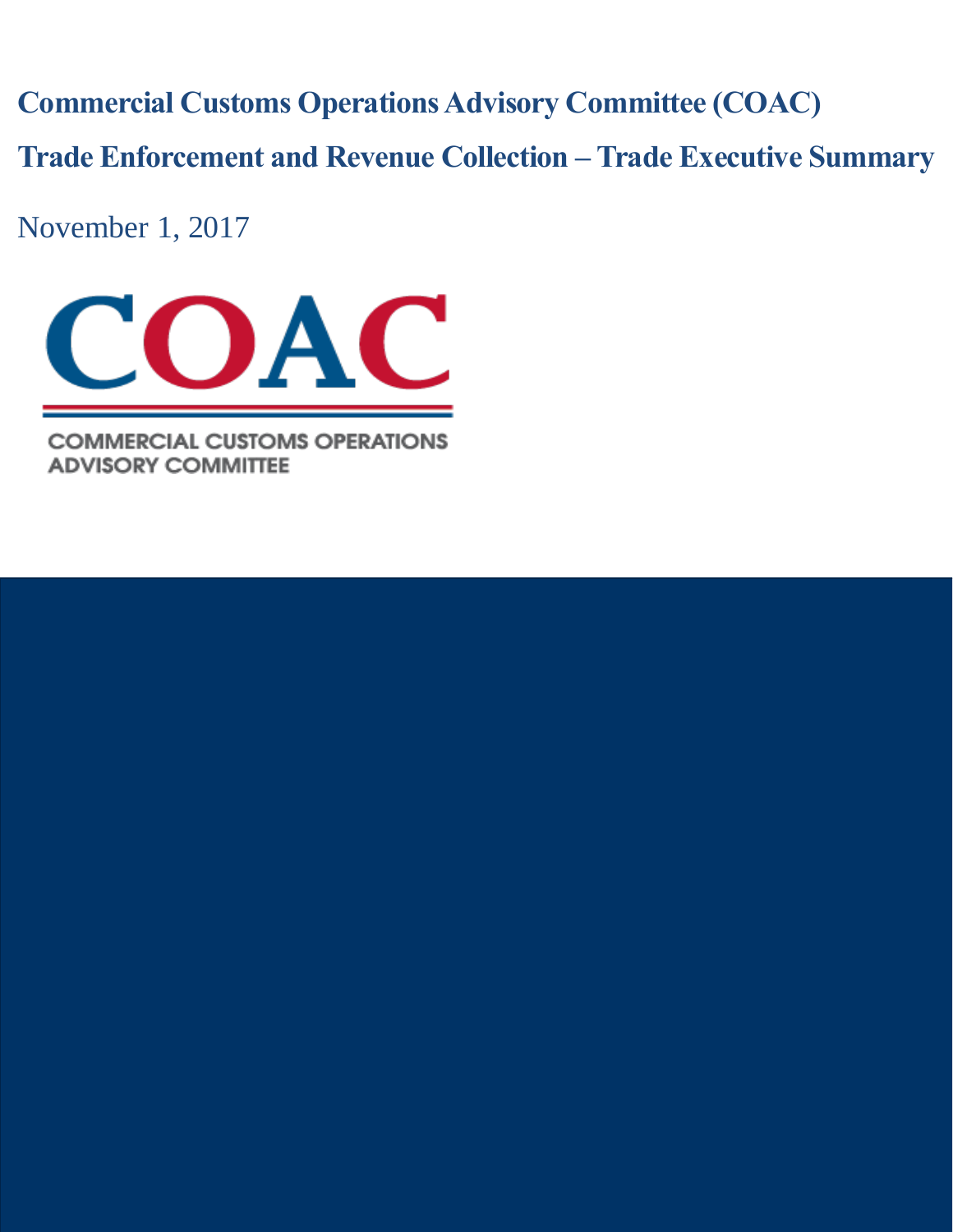**Commercial Customs Operations Advisory Committee (COAC)**

**Trade Enforcement and Revenue Collection – Trade Executive Summary**

November 1, 2017



**COMMERCIAL CUSTOMS OPERATIONS ADVISORY COMMITTEE**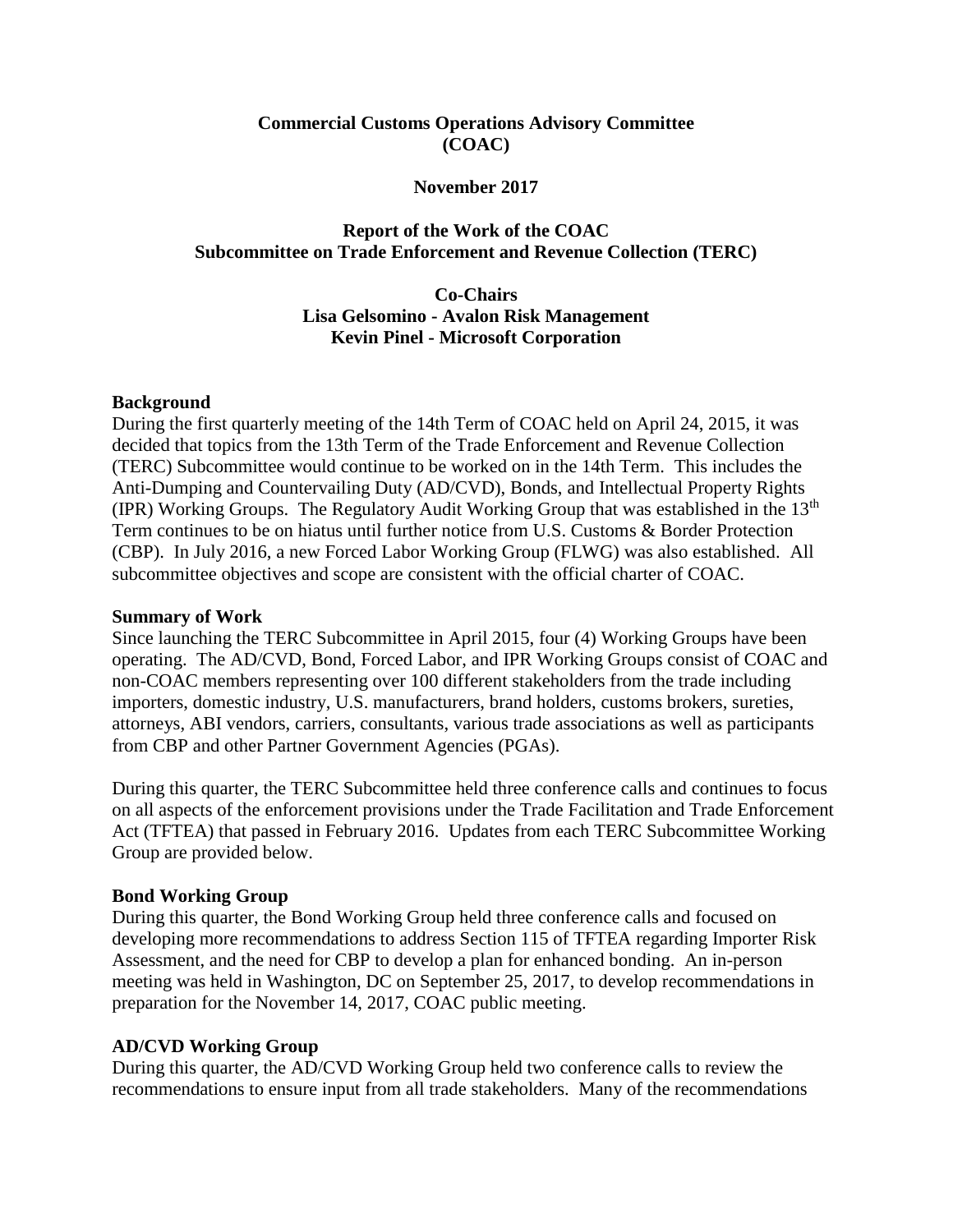### **Commercial Customs Operations Advisory Committee (COAC)**

#### **November 2017**

#### **Report of the Work of the COAC Subcommittee on Trade Enforcement and Revenue Collection (TERC)**

**Co-Chairs Lisa Gelsomino - Avalon Risk Management Kevin Pinel - Microsoft Corporation**

#### **Background**

During the first quarterly meeting of the 14th Term of COAC held on April 24, 2015, it was decided that topics from the 13th Term of the Trade Enforcement and Revenue Collection (TERC) Subcommittee would continue to be worked on in the 14th Term. This includes the Anti-Dumping and Countervailing Duty (AD/CVD), Bonds, and Intellectual Property Rights (IPR) Working Groups. The Regulatory Audit Working Group that was established in the  $13<sup>th</sup>$ Term continues to be on hiatus until further notice from U.S. Customs & Border Protection (CBP). In July 2016, a new Forced Labor Working Group (FLWG) was also established. All subcommittee objectives and scope are consistent with the official charter of COAC.

#### **Summary of Work**

Since launching the TERC Subcommittee in April 2015, four (4) Working Groups have been operating. The AD/CVD, Bond, Forced Labor, and IPR Working Groups consist of COAC and non-COAC members representing over 100 different stakeholders from the trade including importers, domestic industry, U.S. manufacturers, brand holders, customs brokers, sureties, attorneys, ABI vendors, carriers, consultants, various trade associations as well as participants from CBP and other Partner Government Agencies (PGAs).

During this quarter, the TERC Subcommittee held three conference calls and continues to focus on all aspects of the enforcement provisions under the Trade Facilitation and Trade Enforcement Act (TFTEA) that passed in February 2016. Updates from each TERC Subcommittee Working Group are provided below.

#### **Bond Working Group**

During this quarter, the Bond Working Group held three conference calls and focused on developing more recommendations to address Section 115 of TFTEA regarding Importer Risk Assessment, and the need for CBP to develop a plan for enhanced bonding. An in-person meeting was held in Washington, DC on September 25, 2017, to develop recommendations in preparation for the November 14, 2017, COAC public meeting.

#### **AD/CVD Working Group**

During this quarter, the AD/CVD Working Group held two conference calls to review the recommendations to ensure input from all trade stakeholders. Many of the recommendations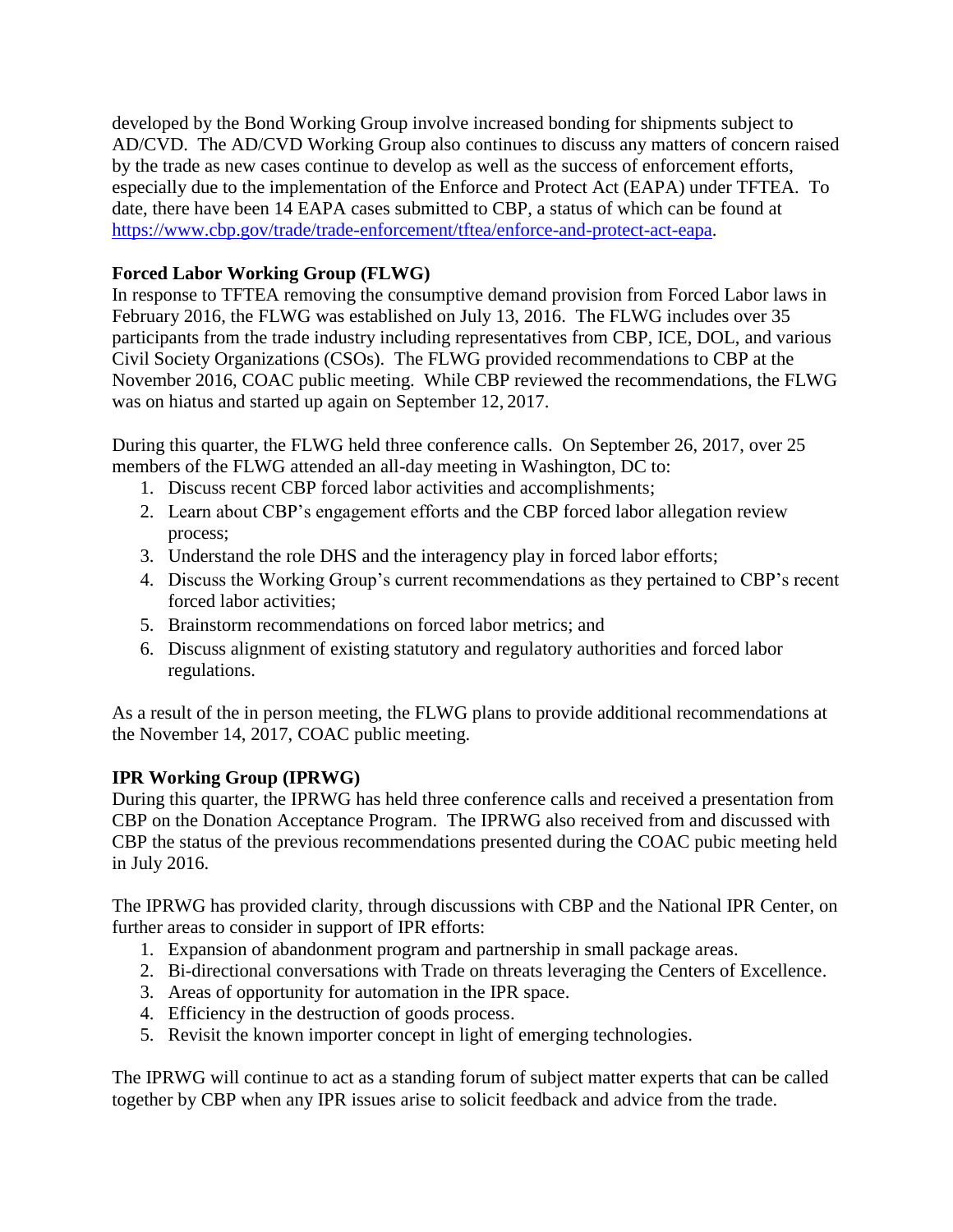developed by the Bond Working Group involve increased bonding for shipments subject to AD/CVD. The AD/CVD Working Group also continues to discuss any matters of concern raised by the trade as new cases continue to develop as well as the success of enforcement efforts, especially due to the implementation of the Enforce and Protect Act (EAPA) under TFTEA. To date, there have been 14 EAPA cases submitted to CBP, a status of which can be found at [https://www.cbp.gov/trade/trade-enforcement/tftea/enforce-and-protect-act-eapa.](https://www.cbp.gov/trade/trade-enforcement/tftea/enforce-and-protect-act-eapa)

# **Forced Labor Working Group (FLWG)**

In response to TFTEA removing the consumptive demand provision from Forced Labor laws in February 2016, the FLWG was established on July 13, 2016. The FLWG includes over 35 participants from the trade industry including representatives from CBP, ICE, DOL, and various Civil Society Organizations (CSOs). The FLWG provided recommendations to CBP at the November 2016, COAC public meeting. While CBP reviewed the recommendations, the FLWG was on hiatus and started up again on September 12, 2017.

During this quarter, the FLWG held three conference calls. On September 26, 2017, over 25 members of the FLWG attended an all-day meeting in Washington, DC to:

- 1. Discuss recent CBP forced labor activities and accomplishments;
- 2. Learn about CBP's engagement efforts and the CBP forced labor allegation review process;
- 3. Understand the role DHS and the interagency play in forced labor efforts;
- 4. Discuss the Working Group's current recommendations as they pertained to CBP's recent forced labor activities;
- 5. Brainstorm recommendations on forced labor metrics; and
- 6. Discuss alignment of existing statutory and regulatory authorities and forced labor regulations.

As a result of the in person meeting, the FLWG plans to provide additional recommendations at the November 14, 2017, COAC public meeting.

# **IPR Working Group (IPRWG)**

During this quarter, the IPRWG has held three conference calls and received a presentation from CBP on the Donation Acceptance Program. The IPRWG also received from and discussed with CBP the status of the previous recommendations presented during the COAC pubic meeting held in July 2016.

The IPRWG has provided clarity, through discussions with CBP and the National IPR Center, on further areas to consider in support of IPR efforts:

- 1. Expansion of abandonment program and partnership in small package areas.
- 2. Bi-directional conversations with Trade on threats leveraging the Centers of Excellence.
- 3. Areas of opportunity for automation in the IPR space.
- 4. Efficiency in the destruction of goods process.
- 5. Revisit the known importer concept in light of emerging technologies.

The IPRWG will continue to act as a standing forum of subject matter experts that can be called together by CBP when any IPR issues arise to solicit feedback and advice from the trade.